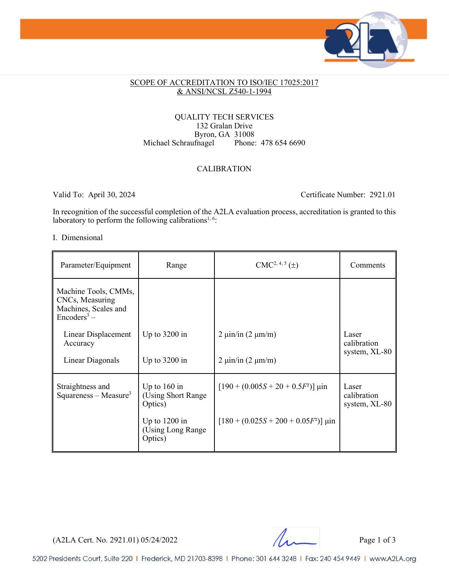

#### SCOPE OF ACCREDITATION TO ISO/IEC 17025:2017 & ANSI/NCSL Z540-1-1994

#### QUALITY TECH SERVICES 132 Gralan Drive Byron, GA 31008<br>fragel Phone: 478 654 6690 Michael Schraufnagel

### CALIBRATION

Valid To: April 30, 2024 Certificate Number: 2921.01

In recognition of the successful completion of the A2LA evaluation process, accreditation is granted to this laboratory to perform the following calibrations<sup>1, 6</sup>:

#### I. Dimensional

| Parameter/Equipment                                                                        | Range                                            | $CMC2, 4, 5(\pm)$                                                      | Comments                              |  |
|--------------------------------------------------------------------------------------------|--------------------------------------------------|------------------------------------------------------------------------|---------------------------------------|--|
| Machine Tools, CMMs,<br>CNCs, Measuring<br>Machines, Scales and<br>Encoders <sup>3</sup> – |                                                  |                                                                        |                                       |  |
| Linear Displacement<br>Accuracy                                                            | Up to $3200$ in                                  | $2 \mu \text{in/in} (2 \mu \text{m/m})$                                | Laser<br>calibration                  |  |
| Linear Diagonals                                                                           | Up to $3200$ in                                  | $2 \text{ } \mu \text{in/in} \left( 2 \text{ } \mu \text{m/m} \right)$ | system, XL-80                         |  |
| Straightness and<br>$Squares - Measure3$                                                   | Up to $160$ in<br>(Using Short Range)<br>Optics) | $[190 + (0.005S + 20 + 0.5F^2)]$ µin                                   | Laser<br>calibration<br>system, XL-80 |  |
|                                                                                            | Up to $1200$ in<br>(Using Long Range)<br>Optics) | $[180 + (0.025S + 200 + 0.05F^2)]$ µin                                 |                                       |  |

 $(A2LA$  Cert. No. 2921.01) 05/24/2022 Page 1 of 3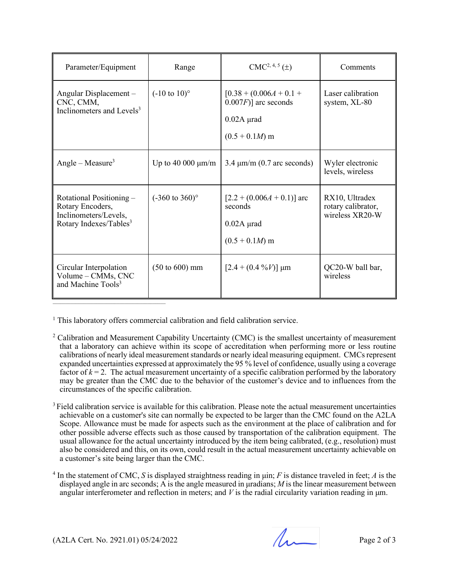| Parameter/Equipment                                                                                         | Range                             | $CMC2, 4, 5(\pm)$                                                                         | Comments                                                |
|-------------------------------------------------------------------------------------------------------------|-----------------------------------|-------------------------------------------------------------------------------------------|---------------------------------------------------------|
| Angular Displacement -<br>CNC, CMM,<br>Inclinometers and Levels <sup>3</sup>                                | $(-10 \text{ to } 10)^{\circ}$    | $[0.38 + (0.006A + 0.1 +$<br>$(0.007F)$ ] arc seconds<br>$0.02A$ µrad<br>$(0.5 + 0.1M)$ m | Laser calibration<br>system, XL-80                      |
| Angle – Measure <sup>3</sup>                                                                                | Up to 40 000 $\mu$ m/m            | $3.4 \mu m/m$ (0.7 arc seconds)                                                           | Wyler electronic<br>levels, wireless                    |
| Rotational Positioning –<br>Rotary Encoders,<br>Inclinometers/Levels,<br>Rotary Indexes/Tables <sup>3</sup> | $(-360 \text{ to } 360)$ °        | $[2.2 + (0.006A + 0.1)]$ arc<br>seconds<br>$0.02A$ µrad<br>$(0.5 + 0.1M)$ m               | RX10, Ultradex<br>rotary calibrator,<br>wireless XR20-W |
| Circular Interpolation<br>Volume - CMMs, CNC<br>and Machine Tools <sup>3</sup>                              | $(50 \text{ to } 600) \text{ mm}$ | $[2.4 + (0.4 \frac{9}{6}V)]$ µm                                                           | QC20-W ball bar,<br>wireless                            |

<sup>1</sup> This laboratory offers commercial calibration and field calibration service.

- <sup>2</sup> Calibration and Measurement Capability Uncertainty (CMC) is the smallest uncertainty of measurement that a laboratory can achieve within its scope of accreditation when performing more or less routine calibrations of nearly ideal measurement standards or nearly ideal measuring equipment. CMCsrepresent expanded uncertainties expressed at approximately the 95 % level of confidence, usually using a coverage factor of  $k = 2$ . The actual measurement uncertainty of a specific calibration performed by the laboratory may be greater than the CMC due to the behavior of the customer's device and to influences from the circumstances of the specific calibration.
- <sup>3</sup> Field calibration service is available for this calibration. Please note the actual measurement uncertainties achievable on a customer's site can normally be expected to be larger than the CMC found on the A2LA Scope. Allowance must be made for aspects such as the environment at the place of calibration and for other possible adverse effects such as those caused by transportation of the calibration equipment. The usual allowance for the actual uncertainty introduced by the item being calibrated, (e.g., resolution) must also be considered and this, on its own, could result in the actual measurement uncertainty achievable on a customer's site being larger than the CMC.
- <sup>4</sup> In the statement of CMC, *S* is displayed straightness reading in μin; *F* is distance traveled in feet; *A* is the displayed angle in arc seconds; A is the angle measured in μradians; *M* is the linear measurement between angular interferometer and reflection in meters; and  $V$  is the radial circularity variation reading in  $\mu$ m.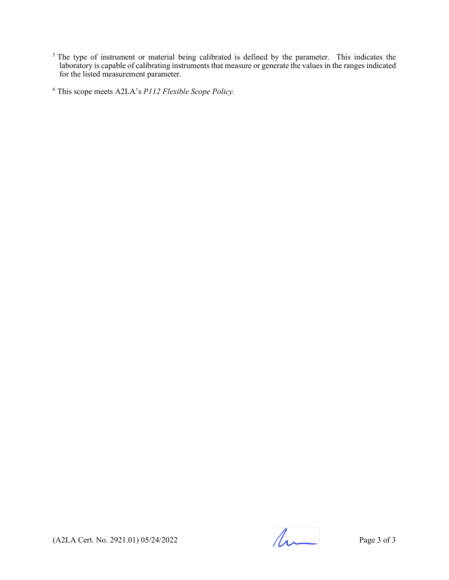$<sup>5</sup>$  The type of instrument or material being calibrated is defined by the parameter. This indicates the</sup> laboratory is capable of calibrating instruments that measure or generate the values in the ranges indicated for the listed measurement parameter.

<sup>6</sup> This scope meets A2LA's *P112 Flexible Scope Policy.*

(A2LA Cert. No. 2921.01) 05/24/2022 Page 3 of 3